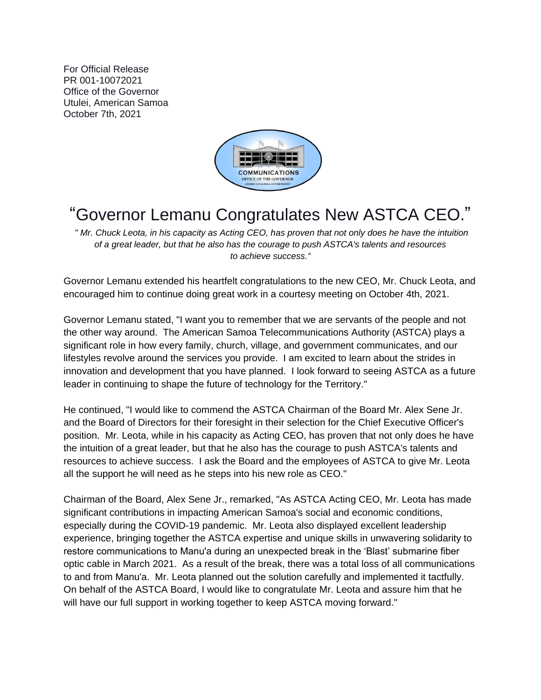For Official Release PR 001-10072021 Office of the Governor Utulei, American Samoa October 7th, 2021



## "Governor Lemanu Congratulates New ASTCA CEO."

*" Mr. Chuck Leota, in his capacity as Acting CEO, has proven that not only does he have the intuition of a great leader, but that he also has the courage to push ASTCA's talents and resources to achieve success."*

Governor Lemanu extended his heartfelt congratulations to the new CEO, Mr. Chuck Leota, and encouraged him to continue doing great work in a courtesy meeting on October 4th, 2021.

Governor Lemanu stated, "I want you to remember that we are servants of the people and not the other way around. The American Samoa Telecommunications Authority (ASTCA) plays a significant role in how every family, church, village, and government communicates, and our lifestyles revolve around the services you provide. I am excited to learn about the strides in innovation and development that you have planned. I look forward to seeing ASTCA as a future leader in continuing to shape the future of technology for the Territory."

He continued, "I would like to commend the ASTCA Chairman of the Board Mr. Alex Sene Jr. and the Board of Directors for their foresight in their selection for the Chief Executive Officer's position. Mr. Leota, while in his capacity as Acting CEO, has proven that not only does he have the intuition of a great leader, but that he also has the courage to push ASTCA's talents and resources to achieve success. I ask the Board and the employees of ASTCA to give Mr. Leota all the support he will need as he steps into his new role as CEO."

Chairman of the Board, Alex Sene Jr., remarked, "As ASTCA Acting CEO, Mr. Leota has made significant contributions in impacting American Samoa's social and economic conditions, especially during the COVID-19 pandemic. Mr. Leota also displayed excellent leadership experience, bringing together the ASTCA expertise and unique skills in unwavering solidarity to restore communications to Manu'a during an unexpected break in the 'Blast' submarine fiber optic cable in March 2021. As a result of the break, there was a total loss of all communications to and from Manu'a. Mr. Leota planned out the solution carefully and implemented it tactfully. On behalf of the ASTCA Board, I would like to congratulate Mr. Leota and assure him that he will have our full support in working together to keep ASTCA moving forward."